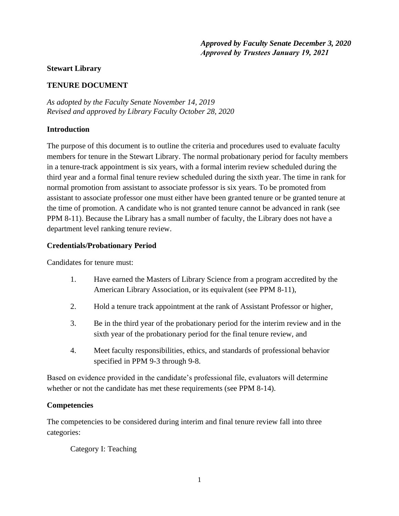*Approved by Faculty Senate December 3, 2020 Approved by Trustees January 19, 2021*

#### **Stewart Library**

## **TENURE DOCUMENT**

*As adopted by the Faculty Senate November 14, 2019 Revised and approved by Library Faculty October 28, 2020*

### **Introduction**

The purpose of this document is to outline the criteria and procedures used to evaluate faculty members for tenure in the Stewart Library. The normal probationary period for faculty members in a tenure-track appointment is six years, with a formal interim review scheduled during the third year and a formal final tenure review scheduled during the sixth year. The time in rank for normal promotion from assistant to associate professor is six years. To be promoted from assistant to associate professor one must either have been granted tenure or be granted tenure at the time of promotion. A candidate who is not granted tenure cannot be advanced in rank (see PPM 8-11). Because the Library has a small number of faculty, the Library does not have a department level ranking tenure review.

### **Credentials/Probationary Period**

Candidates for tenure must:

- 1. Have earned the Masters of Library Science from a program accredited by the American Library Association, or its equivalent (see PPM 8-11),
- 2. Hold a tenure track appointment at the rank of Assistant Professor or higher,
- 3. Be in the third year of the probationary period for the interim review and in the sixth year of the probationary period for the final tenure review, and
- 4. Meet faculty responsibilities, ethics, and standards of professional behavior specified in PPM 9-3 through 9-8.

Based on evidence provided in the candidate's professional file, evaluators will determine whether or not the candidate has met these requirements (see PPM 8-14).

## **Competencies**

The competencies to be considered during interim and final tenure review fall into three categories:

Category I: Teaching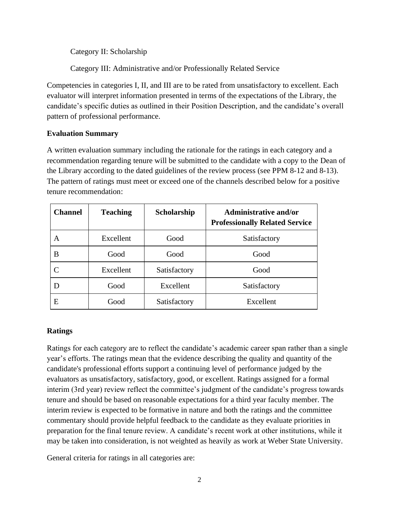Category II: Scholarship

Category III: Administrative and/or Professionally Related Service

Competencies in categories I, II, and III are to be rated from unsatisfactory to excellent. Each evaluator will interpret information presented in terms of the expectations of the Library, the candidate's specific duties as outlined in their Position Description, and the candidate's overall pattern of professional performance.

## **Evaluation Summary**

A written evaluation summary including the rationale for the ratings in each category and a recommendation regarding tenure will be submitted to the candidate with a copy to the Dean of the Library according to the dated guidelines of the review process (see PPM 8-12 and 8-13). The pattern of ratings must meet or exceed one of the channels described below for a positive tenure recommendation:

| <b>Channel</b> | <b>Teaching</b> | Scholarship  | <b>Administrative and/or</b><br><b>Professionally Related Service</b> |
|----------------|-----------------|--------------|-----------------------------------------------------------------------|
| A              | Excellent       | Good         | Satisfactory                                                          |
| B              | Good            | Good         | Good                                                                  |
|                | Excellent       | Satisfactory | Good                                                                  |
|                | Good            | Excellent    | Satisfactory                                                          |
| E              | Good            | Satisfactory | Excellent                                                             |

## **Ratings**

Ratings for each category are to reflect the candidate's academic career span rather than a single year's efforts. The ratings mean that the evidence describing the quality and quantity of the candidate's professional efforts support a continuing level of performance judged by the evaluators as unsatisfactory, satisfactory, good, or excellent. Ratings assigned for a formal interim (3rd year) review reflect the committee's judgment of the candidate's progress towards tenure and should be based on reasonable expectations for a third year faculty member. The interim review is expected to be formative in nature and both the ratings and the committee commentary should provide helpful feedback to the candidate as they evaluate priorities in preparation for the final tenure review. A candidate's recent work at other institutions, while it may be taken into consideration, is not weighted as heavily as work at Weber State University.

General criteria for ratings in all categories are: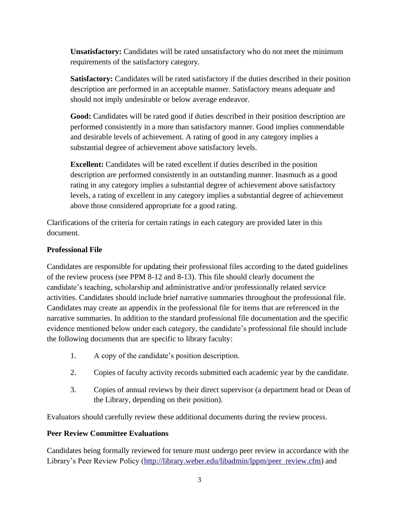**Unsatisfactory:** Candidates will be rated unsatisfactory who do not meet the minimum requirements of the satisfactory category.

**Satisfactory:** Candidates will be rated satisfactory if the duties described in their position description are performed in an acceptable manner. Satisfactory means adequate and should not imply undesirable or below average endeavor.

Good: Candidates will be rated good if duties described in their position description are performed consistently in a more than satisfactory manner. Good implies commendable and desirable levels of achievement. A rating of good in any category implies a substantial degree of achievement above satisfactory levels.

**Excellent:** Candidates will be rated excellent if duties described in the position description are performed consistently in an outstanding manner. Inasmuch as a good rating in any category implies a substantial degree of achievement above satisfactory levels, a rating of excellent in any category implies a substantial degree of achievement above those considered appropriate for a good rating.

Clarifications of the criteria for certain ratings in each category are provided later in this document.

## **Professional File**

Candidates are responsible for updating their professional files according to the dated guidelines of the review process (see PPM 8-12 and 8-13). This file should clearly document the candidate's teaching, scholarship and administrative and/or professionally related service activities. Candidates should include brief narrative summaries throughout the professional file. Candidates may create an appendix in the professional file for items that are referenced in the narrative summaries. In addition to the standard professional file documentation and the specific evidence mentioned below under each category, the candidate's professional file should include the following documents that are specific to library faculty:

- 1. A copy of the candidate's position description.
- 2. Copies of faculty activity records submitted each academic year by the candidate.
- 3. Copies of annual reviews by their direct supervisor (a department head or Dean of the Library, depending on their position).

Evaluators should carefully review these additional documents during the review process.

# **Peer Review Committee Evaluations**

Candidates being formally reviewed for tenure must undergo peer review in accordance with the Library's Peer Review Policy [\(http://library.weber.edu/libadmin/lppm/peer\\_review.cfm\)](file:///C:/Documents%20and%20Settings/Ref/Desktop/(http:/library.weber.edu/libadmin/lppm/peer_review.cfm) and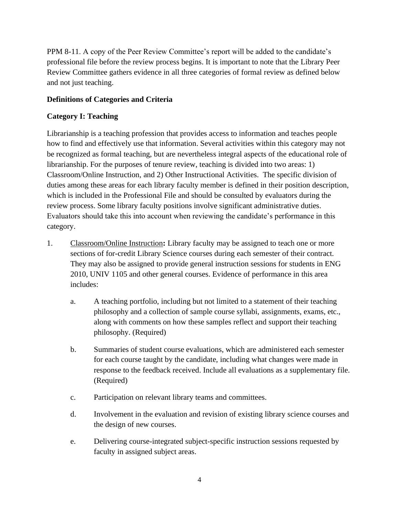PPM 8-11. A copy of the Peer Review Committee's report will be added to the candidate's professional file before the review process begins. It is important to note that the Library Peer Review Committee gathers evidence in all three categories of formal review as defined below and not just teaching.

# **Definitions of Categories and Criteria**

# **Category I: Teaching**

Librarianship is a teaching profession that provides access to information and teaches people how to find and effectively use that information. Several activities within this category may not be recognized as formal teaching, but are nevertheless integral aspects of the educational role of librarianship. For the purposes of tenure review, teaching is divided into two areas: 1) Classroom/Online Instruction, and 2) Other Instructional Activities. The specific division of duties among these areas for each library faculty member is defined in their position description, which is included in the Professional File and should be consulted by evaluators during the review process. Some library faculty positions involve significant administrative duties. Evaluators should take this into account when reviewing the candidate's performance in this category.

- 1. Classroom/Online Instruction**:** Library faculty may be assigned to teach one or more sections of for-credit Library Science courses during each semester of their contract. They may also be assigned to provide general instruction sessions for students in ENG 2010, UNIV 1105 and other general courses. Evidence of performance in this area includes:
	- a. A teaching portfolio, including but not limited to a statement of their teaching philosophy and a collection of sample course syllabi, assignments, exams, etc., along with comments on how these samples reflect and support their teaching philosophy. (Required)
	- b. Summaries of student course evaluations, which are administered each semester for each course taught by the candidate, including what changes were made in response to the feedback received. Include all evaluations as a supplementary file. (Required)
	- c. Participation on relevant library teams and committees.
	- d. Involvement in the evaluation and revision of existing library science courses and the design of new courses.
	- e. Delivering course-integrated subject-specific instruction sessions requested by faculty in assigned subject areas.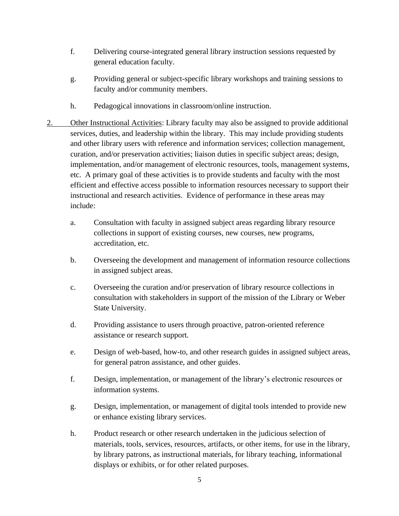- f. Delivering course-integrated general library instruction sessions requested by general education faculty.
- g. Providing general or subject-specific library workshops and training sessions to faculty and/or community members.
- h. Pedagogical innovations in classroom/online instruction.
- 2. Other Instructional Activities: Library faculty may also be assigned to provide additional services, duties, and leadership within the library. This may include providing students and other library users with reference and information services; collection management, curation, and/or preservation activities; liaison duties in specific subject areas; design, implementation, and/or management of electronic resources, tools, management systems, etc. A primary goal of these activities is to provide students and faculty with the most efficient and effective access possible to information resources necessary to support their instructional and research activities. Evidence of performance in these areas may include:
	- a. Consultation with faculty in assigned subject areas regarding library resource collections in support of existing courses, new courses, new programs, accreditation, etc.
	- b. Overseeing the development and management of information resource collections in assigned subject areas.
	- c. Overseeing the curation and/or preservation of library resource collections in consultation with stakeholders in support of the mission of the Library or Weber State University.
	- d. Providing assistance to users through proactive, patron-oriented reference assistance or research support.
	- e. Design of web-based, how-to, and other research guides in assigned subject areas, for general patron assistance, and other guides.
	- f. Design, implementation, or management of the library's electronic resources or information systems.
	- g. Design, implementation, or management of digital tools intended to provide new or enhance existing library services.
	- h. Product research or other research undertaken in the judicious selection of materials, tools, services, resources, artifacts, or other items, for use in the library, by library patrons, as instructional materials, for library teaching, informational displays or exhibits, or for other related purposes.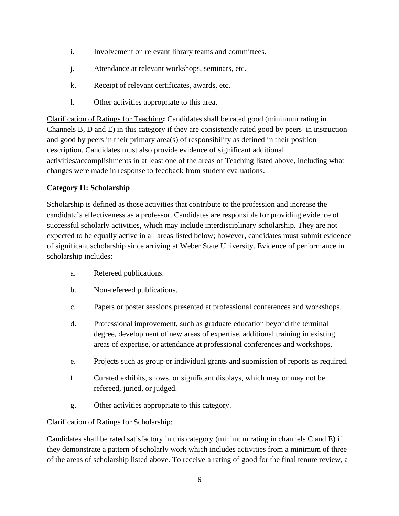- i. Involvement on relevant library teams and committees.
- j. Attendance at relevant workshops, seminars, etc.
- k. Receipt of relevant certificates, awards, etc.
- l. Other activities appropriate to this area.

Clarification of Ratings for Teaching**:** Candidates shall be rated good (minimum rating in Channels B, D and E) in this category if they are consistently rated good by peers in instruction and good by peers in their primary area(s) of responsibility as defined in their position description. Candidates must also provide evidence of significant additional activities/accomplishments in at least one of the areas of Teaching listed above, including what changes were made in response to feedback from student evaluations.

## **Category II: Scholarship**

Scholarship is defined as those activities that contribute to the profession and increase the candidate's effectiveness as a professor. Candidates are responsible for providing evidence of successful scholarly activities, which may include interdisciplinary scholarship. They are not expected to be equally active in all areas listed below; however, candidates must submit evidence of significant scholarship since arriving at Weber State University. Evidence of performance in scholarship includes:

- a. Refereed publications.
- b. Non-refereed publications.
- c. Papers or poster sessions presented at professional conferences and workshops.
- d. Professional improvement, such as graduate education beyond the terminal degree, development of new areas of expertise, additional training in existing areas of expertise, or attendance at professional conferences and workshops.
- e. Projects such as group or individual grants and submission of reports as required.
- f. Curated exhibits, shows, or significant displays, which may or may not be refereed, juried, or judged.
- g. Other activities appropriate to this category.

## Clarification of Ratings for Scholarship:

Candidates shall be rated satisfactory in this category (minimum rating in channels C and E) if they demonstrate a pattern of scholarly work which includes activities from a minimum of three of the areas of scholarship listed above. To receive a rating of good for the final tenure review, a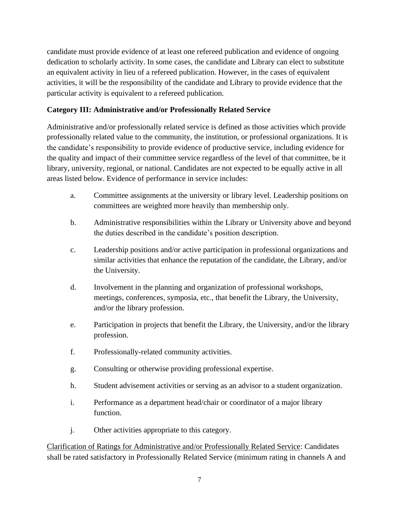candidate must provide evidence of at least one refereed publication and evidence of ongoing dedication to scholarly activity. In some cases, the candidate and Library can elect to substitute an equivalent activity in lieu of a refereed publication. However, in the cases of equivalent activities, it will be the responsibility of the candidate and Library to provide evidence that the particular activity is equivalent to a refereed publication.

## **Category III: Administrative and/or Professionally Related Service**

Administrative and/or professionally related service is defined as those activities which provide professionally related value to the community, the institution, or professional organizations. It is the candidate's responsibility to provide evidence of productive service, including evidence for the quality and impact of their committee service regardless of the level of that committee, be it library, university, regional, or national. Candidates are not expected to be equally active in all areas listed below. Evidence of performance in service includes:

- a. Committee assignments at the university or library level. Leadership positions on committees are weighted more heavily than membership only.
- b. Administrative responsibilities within the Library or University above and beyond the duties described in the candidate's position description.
- c. Leadership positions and/or active participation in professional organizations and similar activities that enhance the reputation of the candidate, the Library, and/or the University.
- d. Involvement in the planning and organization of professional workshops, meetings, conferences, symposia, etc., that benefit the Library, the University, and/or the library profession.
- e. Participation in projects that benefit the Library, the University, and/or the library profession.
- f. Professionally-related community activities.
- g. Consulting or otherwise providing professional expertise.
- h. Student advisement activities or serving as an advisor to a student organization.
- i. Performance as a department head/chair or coordinator of a major library function.
- j. Other activities appropriate to this category.

Clarification of Ratings for Administrative and/or Professionally Related Service: Candidates shall be rated satisfactory in Professionally Related Service (minimum rating in channels A and